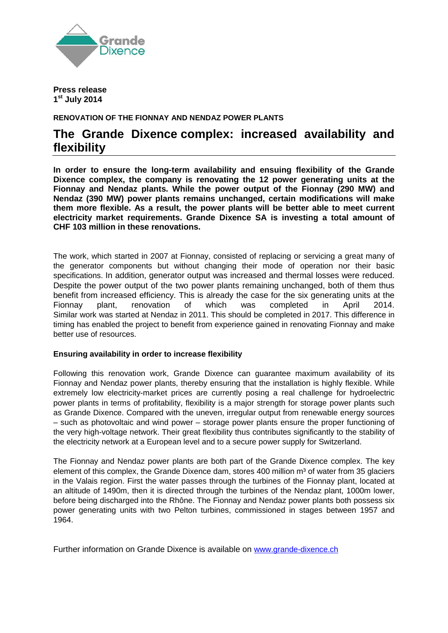

**Press release 1st July 2014**

**RENOVATION OF THE FIONNAY AND NENDAZ POWER PLANTS**

## **The Grande Dixence complex: increased availability and flexibility**

**In order to ensure the long-term availability and ensuing flexibility of the Grande Dixence complex, the company is renovating the 12 power generating units at the Fionnay and Nendaz plants. While the power output of the Fionnay (290 MW) and Nendaz (390 MW) power plants remains unchanged, certain modifications will make them more flexible. As a result, the power plants will be better able to meet current electricity market requirements. Grande Dixence SA is investing a total amount of CHF 103 million in these renovations.**

The work, which started in 2007 at Fionnay, consisted of replacing or servicing a great many of the generator components but without changing their mode of operation nor their basic specifications. In addition, generator output was increased and thermal losses were reduced. Despite the power output of the two power plants remaining unchanged, both of them thus benefit from increased efficiency. This is already the case for the six generating units at the Fionnay plant, renovation of which was completed in April 2014. Similar work was started at Nendaz in 2011. This should be completed in 2017. This difference in timing has enabled the project to benefit from experience gained in renovating Fionnay and make better use of resources.

## **Ensuring availability in order to increase flexibility**

Following this renovation work, Grande Dixence can guarantee maximum availability of its Fionnay and Nendaz power plants, thereby ensuring that the installation is highly flexible. While extremely low electricity-market prices are currently posing a real challenge for hydroelectric power plants in terms of profitability, flexibility is a major strength for storage power plants such as Grande Dixence. Compared with the uneven, irregular output from renewable energy sources – such as photovoltaic and wind power – storage power plants ensure the proper functioning of the very high-voltage network. Their great flexibility thus contributes significantly to the stability of the electricity network at a European level and to a secure power supply for Switzerland.

The Fionnay and Nendaz power plants are both part of the Grande Dixence complex. The key element of this complex, the Grande Dixence dam, stores 400 million m<sup>3</sup> of water from 35 glaciers in the Valais region. First the water passes through the turbines of the Fionnay plant, located at an altitude of 1490m, then it is directed through the turbines of the Nendaz plant, 1000m lower, before being discharged into the Rhône. The Fionnay and Nendaz power plants both possess six power generating units with two Pelton turbines, commissioned in stages between 1957 and 1964.

Further information on Grande Dixence is available on [www.grande-dixence.ch](http://www.grande-dixence.ch/)